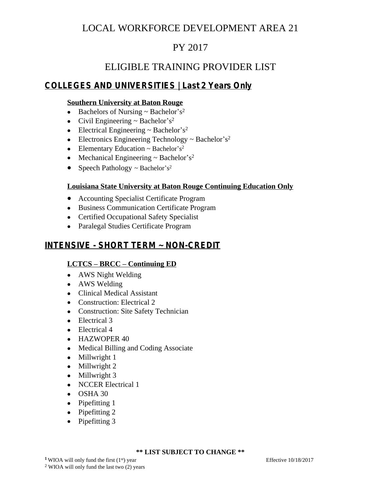# LOCAL WORKFORCE DEVELOPMENT AREA 21

# PY 2017

## ELIGIBLE TRAINING PROVIDER LIST

## **COLLEGES AND UNIVERSITIES | Last 2 Years Only**

## **Southern University at Baton Rouge**

- Bachelors of Nursing  $\sim$  Bachelor's<sup>2</sup>
- Civil Engineering  $\sim$  Bachelor's<sup>2</sup>
- Electrical Engineering  $\sim$  Bachelor's<sup>2</sup>
- Electronics Engineering Technology  $\sim$  Bachelor's<sup>2</sup>
- Elementary Education  $\sim$  Bachelor's<sup>2</sup>
- Mechanical Engineering  $\sim$  Bachelor's<sup>2</sup>
- Speech Pathology  $\sim$  Bachelor's<sup>2</sup>

## **Louisiana State University at Baton Rouge Continuing Education Only**

- Accounting Specialist Certificate Program
- Business Communication Certificate Program
- Certified Occupational Safety Specialist
- Paralegal Studies Certificate Program

## **INTENSIVE - SHORT TERM ~ NON-CREDIT**

## **LCTCS – BRCC – Continuing ED**

- AWS Night Welding
- AWS Welding
- Clinical Medical Assistant
- Construction: Electrical 2
- Construction: Site Safety Technician
- Electrical 3
- Electrical 4
- HAZWOPER 40
- Medical Billing and Coding Associate
- Millwright 1
- Millwright 2
- Millwright 3
- NCCER Electrical 1
- OSHA 30
- Pipefitting 1
- Pipefitting 2
- Pipefitting 3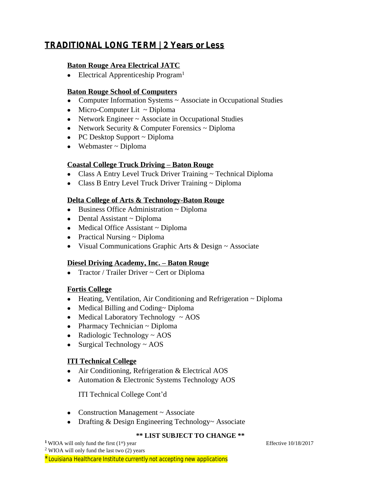## **TRADITIONAL LONG TERM | 2 Years or Less**

#### **Baton Rouge Area Electrical JATC**

• Electrical Apprenticeship Program<sup>1</sup>

#### **Baton Rouge School of Computers**

- Computer Information Systems ~ Associate in Occupational Studies
- $\bullet$  Micro-Computer Lit ~ Diploma
- Network Engineer ~ Associate in Occupational Studies
- Network Security  $&$  Computer Forensics  $\sim$  Diploma
- PC Desktop Support ~ Diploma
- Webmaster ~ Diploma

#### **Coastal College Truck Driving – Baton Rouge**

- Class A Entry Level Truck Driver Training ~ Technical Diploma
- Class B Entry Level Truck Driver Training ~ Diploma

#### **Delta College of Arts & Technology-Baton Rouge**

- $\bullet$  Business Office Administration  $\sim$  Diploma
- $\bullet$  Dental Assistant ~ Diploma
- Medical Office Assistant ~ Diploma
- Practical Nursing ~ Diploma
- Visual Communications Graphic Arts & Design ~ Associate

#### **Diesel Driving Academy, Inc. – Baton Rouge**

• Tractor / Trailer Driver  $\sim$  Cert or Diploma

## **Fortis College**

- Heating, Ventilation, Air Conditioning and Refrigeration ~ Diploma
- Medical Billing and Coding~ Diploma
- $\bullet$  Medical Laboratory Technology  $\sim$  AOS
- $\bullet$  Pharmacy Technician  $\sim$  Diploma
- Radiologic Technology  $\sim$  AOS
- Surgical Technology  $\sim$  AOS

## **ITI Technical College**

- Air Conditioning, Refrigeration & Electrical AOS
- Automation & Electronic Systems Technology AOS

ITI Technical College Cont'd

- Construction Management ~ Associate
- Drafting & Design Engineering Technology~ Associate

#### **\*\* LIST SUBJECT TO CHANGE \*\***

**<sup>1</sup>**WIOA will only fund the first (1<sup>st</sup>) year Effective 10/18/2017 <sup>2</sup> WIOA will only fund the last two (2) years \**Louisiana Healthcare Institute currently not accepting new applications*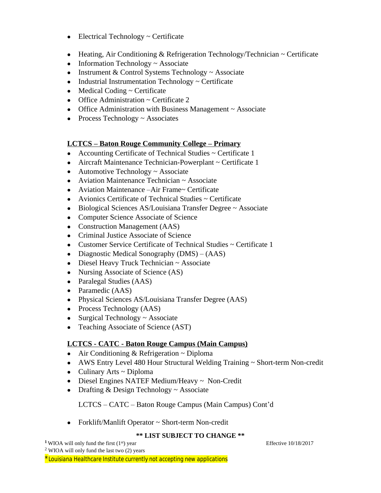- Electrical Technology ~ Certificate
- **•** Heating, Air Conditioning & Refrigeration Technology/Technician  $\sim$  Certificate
- $\bullet$  Information Technology  $\sim$  Associate
- Instrument & Control Systems Technology  $\sim$  Associate
- Industrial Instrumentation Technology ~ Certificate
- $\bullet$  Medical Coding  $\sim$  Certificate
- Office Administration ~ Certificate 2
- Office Administration with Business Management ~ Associate
- Process Technology  $\sim$  Associates

#### **LCTCS – Baton Rouge Community College – Primary**

- Accounting Certificate of Technical Studies ~ Certificate 1
- Aircraft Maintenance Technician-Powerplant ~ Certificate 1
- Automotive Technology ~ Associate
- Aviation Maintenance Technician ~ Associate
- Aviation Maintenance –Air Frame~ Certificate
- Avionics Certificate of Technical Studies  $\sim$  Certificate
- Biological Sciences AS/Louisiana Transfer Degree ~ Associate
- Computer Science Associate of Science
- Construction Management (AAS)
- Criminal Justice Associate of Science
- Customer Service Certificate of Technical Studies ~ Certificate 1
- Diagnostic Medical Sonography (DMS) (AAS)
- Diesel Heavy Truck Technician ~ Associate
- Nursing Associate of Science (AS)
- Paralegal Studies (AAS)
- Paramedic (AAS)
- Physical Sciences AS/Louisiana Transfer Degree (AAS)
- Process Technology (AAS)
- Surgical Technology  $\sim$  Associate
- Teaching Associate of Science (AST)

## **LCTCS - CATC - Baton Rouge Campus (Main Campus)**

- $\bullet$  Air Conditioning & Refrigeration  $\sim$  Diploma
- AWS Entry Level 480 Hour Structural Welding Training ~ Short-term Non-credit
- $\bullet$  Culinary Arts ~ Diploma
- Diesel Engines NATEF Medium/Heavy ~ Non-Credit
- Drafting  $&$  Design Technology  $\sim$  Associate

LCTCS – CATC – Baton Rouge Campus (Main Campus) Cont'd

• Forklift/Manlift Operator ~ Short-term Non-credit

#### **\*\* LIST SUBJECT TO CHANGE \*\***

**<sup>1</sup>**WIOA will only fund the first (1<sup>st</sup>) year Effective 10/18/2017 <sup>2</sup> WIOA will only fund the last two (2) years

\**Louisiana Healthcare Institute currently not accepting new applications*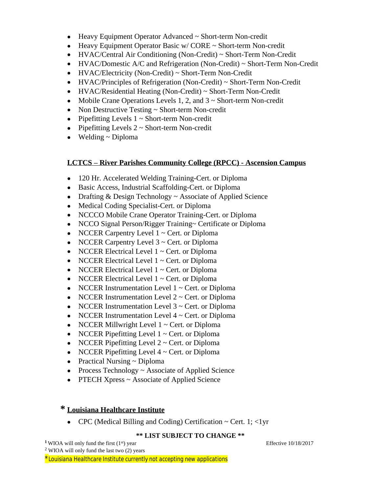- Heavy Equipment Operator Advanced ~ Short-term Non-credit
- $\bullet$  Heavy Equipment Operator Basic w/ CORE  $\sim$  Short-term Non-credit
- [HVAC/Central Air Conditioning \(Non-Credit\) ~ Short-Term Non-Credit](javascript:document.occlist.submit();)
- [HVAC/Domestic A/C and Refrigeration \(Non-Credit\) ~ Short-Term Non-Credit](javascript:document.occlist.submit();)
- [HVAC/Electricity \(Non-Credit\) ~ Short-Term Non-Credit](javascript:document.occlist.submit();)
- [HVAC/Principles of Refrigeration \(Non-Credit\) ~ Short-Term Non-Credit](javascript:document.occlist.submit();)
- [HVAC/Residential Heating \(Non-Credit\) ~ Short-Term Non-Credit](javascript:document.occlist.submit();)
- Mobile Crane Operations Levels 1, 2, and 3 ~ Short-term Non-credit
- Non Destructive Testing ~ Short-term Non-credit
- Pipefitting Levels  $1 \sim$  Short-term Non-credit
- Pipefitting Levels  $2 \sim$  Short-term Non-credit
- $\bullet$  Welding  $\sim$  Diploma

## **LCTCS – River Parishes Community College (RPCC) - Ascension Campus**

- 120 Hr. Accelerated Welding Training-Cert. or Diploma
- Basic Access, Industrial Scaffolding-Cert. or Diploma
- Drafting & Design Technology ~ Associate of Applied Science
- Medical Coding Specialist-Cert. or Diploma
- NCCCO Mobile Crane Operator Training-Cert. or Diploma
- NCCO Signal Person/Rigger Training~ Certificate or Diploma
- NCCER Carpentry Level  $1 \sim$  Cert. or Diploma
- NCCER Carpentry Level  $3 \sim$  Cert. or Diploma
- NCCER Electrical Level  $1 \sim$  Cert. or Diploma
- NCCER Electrical Level  $1 \sim$  Cert. or Diploma
- NCCER Electrical Level  $1 \sim$  Cert. or Diploma
- NCCER Electrical Level  $1 \sim$  Cert. or Diploma
- NCCER Instrumentation Level  $1 \sim$  Cert. or Diploma
- NCCER Instrumentation Level  $2 \sim$  Cert. or Diploma
- NCCER Instrumentation Level  $3 \sim$  Cert. or Diploma
- NCCER Instrumentation Level  $4 \sim$  Cert. or Diploma
- NCCER Millwright Level  $1 \sim$  Cert. or Diploma
- NCCER Pipefitting Level  $1 \sim$  Cert. or Diploma
- NCCER Pipefitting Level  $2 \sim$  Cert. or Diploma
- NCCER Pipefitting Level  $4 \sim$  Cert. or Diploma
- Practical Nursing  $\sim$  Diploma
- Process Technology ~ Associate of Applied Science
- PTECH Xpress ~ Associate of Applied Science

## **\* Louisiana Healthcare Institute**

• CPC (Medical Billing and Coding) Certification  $\sim$  Cert. 1;  $\lt$ 1yr

## **\*\* LIST SUBJECT TO CHANGE \*\***

**<sup>1</sup>**WIOA will only fund the first (1<sup>st</sup>) year Effective 10/18/2017 <sup>2</sup> WIOA will only fund the last two (2) years \**Louisiana Healthcare Institute currently not accepting new applications*